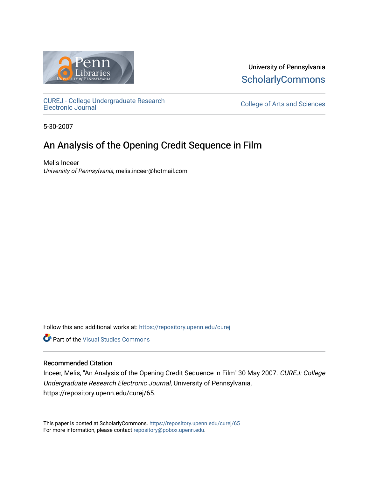

University of Pennsylvania **ScholarlyCommons** 

[CUREJ - College Undergraduate Research](https://repository.upenn.edu/curej) 

College of Arts and Sciences

5-30-2007

# An Analysis of the Opening Credit Sequence in Film

Melis Inceer University of Pennsylvania, melis.inceer@hotmail.com

Follow this and additional works at: [https://repository.upenn.edu/curej](https://repository.upenn.edu/curej?utm_source=repository.upenn.edu%2Fcurej%2F65&utm_medium=PDF&utm_campaign=PDFCoverPages)

**Part of the Visual Studies Commons** 

# Recommended Citation

Inceer, Melis, "An Analysis of the Opening Credit Sequence in Film" 30 May 2007. CUREJ: College Undergraduate Research Electronic Journal, University of Pennsylvania, https://repository.upenn.edu/curej/65.

This paper is posted at ScholarlyCommons.<https://repository.upenn.edu/curej/65> For more information, please contact [repository@pobox.upenn.edu.](mailto:repository@pobox.upenn.edu)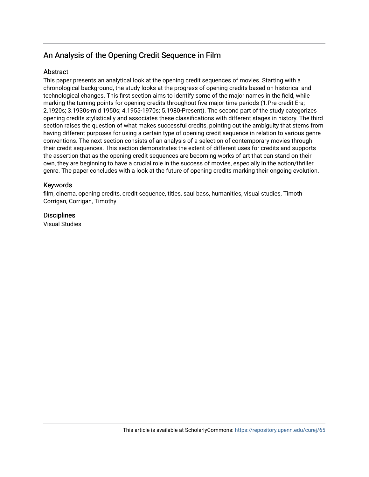# An Analysis of the Opening Credit Sequence in Film

# **Abstract**

This paper presents an analytical look at the opening credit sequences of movies. Starting with a chronological background, the study looks at the progress of opening credits based on historical and technological changes. This first section aims to identify some of the major names in the field, while marking the turning points for opening credits throughout five major time periods (1.Pre-credit Era; 2.1920s; 3.1930s-mid 1950s; 4.1955-1970s; 5.1980-Present). The second part of the study categorizes opening credits stylistically and associates these classifications with different stages in history. The third section raises the question of what makes successful credits, pointing out the ambiguity that stems from having different purposes for using a certain type of opening credit sequence in relation to various genre conventions. The next section consists of an analysis of a selection of contemporary movies through their credit sequences. This section demonstrates the extent of different uses for credits and supports the assertion that as the opening credit sequences are becoming works of art that can stand on their own, they are beginning to have a crucial role in the success of movies, especially in the action/thriller genre. The paper concludes with a look at the future of opening credits marking their ongoing evolution.

# Keywords

film, cinema, opening credits, credit sequence, titles, saul bass, humanities, visual studies, Timoth Corrigan, Corrigan, Timothy

# **Disciplines**

Visual Studies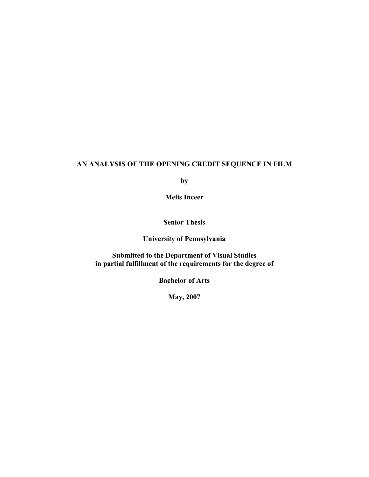# **AN ANALYSIS OF THE OPENING CREDIT SEQUENCE IN FILM**

**by** 

**Melis Inceer** 

**Senior Thesis** 

**University of Pennsylvania** 

**Submitted to the Department of Visual Studies in partial fulfillment of the requirements for the degree of** 

**Bachelor of Arts** 

**May, 2007**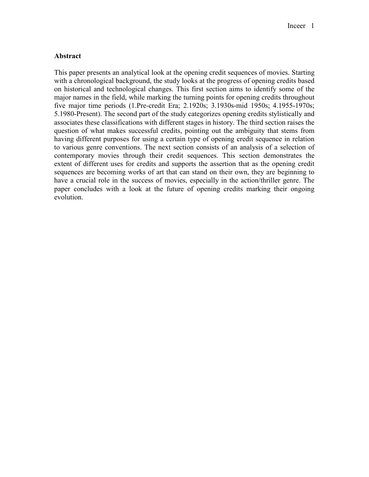# **Abstract**

This paper presents an analytical look at the opening credit sequences of movies. Starting with a chronological background, the study looks at the progress of opening credits based on historical and technological changes. This first section aims to identify some of the major names in the field, while marking the turning points for opening credits throughout five major time periods (1.Pre-credit Era; 2.1920s; 3.1930s-mid 1950s; 4.1955-1970s; 5.1980-Present). The second part of the study categorizes opening credits stylistically and associates these classifications with different stages in history. The third section raises the question of what makes successful credits, pointing out the ambiguity that stems from having different purposes for using a certain type of opening credit sequence in relation to various genre conventions. The next section consists of an analysis of a selection of contemporary movies through their credit sequences. This section demonstrates the extent of different uses for credits and supports the assertion that as the opening credit sequences are becoming works of art that can stand on their own, they are beginning to have a crucial role in the success of movies, especially in the action/thriller genre. The paper concludes with a look at the future of opening credits marking their ongoing evolution.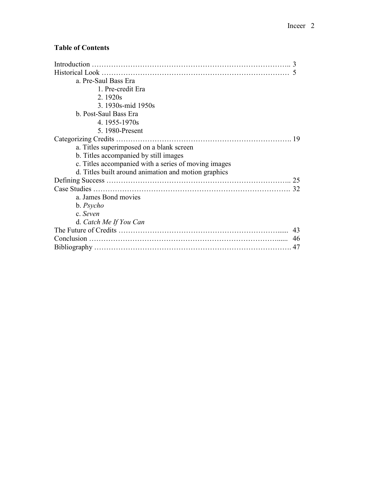# **Table of Contents**

| Introduction                                         |    |
|------------------------------------------------------|----|
|                                                      |    |
| a. Pre-Saul Bass Era                                 |    |
| 1. Pre-credit Era                                    |    |
| 2.1920s                                              |    |
| 3. 1930s-mid 1950s                                   |    |
| b. Post-Saul Bass Era                                |    |
| 4.1955-1970s                                         |    |
| 5. 1980-Present                                      |    |
| Categorizing Credits                                 | 19 |
| a. Titles superimposed on a blank screen             |    |
| b. Titles accompanied by still images                |    |
| c. Titles accompanied with a series of moving images |    |
| d. Titles built around animation and motion graphics |    |
|                                                      | 25 |
|                                                      | 32 |
| a. James Bond movies                                 |    |
| b. <i>Psycho</i>                                     |    |
| c. Seven                                             |    |
| d. Catch Me If You Can                               |    |
|                                                      | 43 |
|                                                      | 46 |
|                                                      | 47 |
|                                                      |    |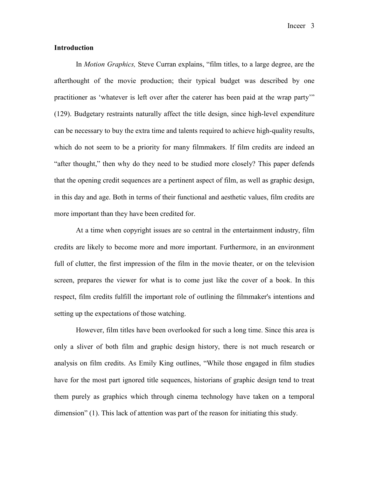Inceer 3

### **Introduction**

In *Motion Graphics,* Steve Curran explains, "film titles, to a large degree, are the afterthought of the movie production; their typical budget was described by one practitioner as 'whatever is left over after the caterer has been paid at the wrap party'" (129). Budgetary restraints naturally affect the title design, since high-level expenditure can be necessary to buy the extra time and talents required to achieve high-quality results, which do not seem to be a priority for many filmmakers. If film credits are indeed an "after thought," then why do they need to be studied more closely? This paper defends that the opening credit sequences are a pertinent aspect of film, as well as graphic design, in this day and age. Both in terms of their functional and aesthetic values, film credits are more important than they have been credited for.

At a time when copyright issues are so central in the entertainment industry, film credits are likely to become more and more important. Furthermore, in an environment full of clutter, the first impression of the film in the movie theater, or on the television screen, prepares the viewer for what is to come just like the cover of a book. In this respect, film credits fulfill the important role of outlining the filmmaker's intentions and setting up the expectations of those watching.

However, film titles have been overlooked for such a long time. Since this area is only a sliver of both film and graphic design history, there is not much research or analysis on film credits. As Emily King outlines, "While those engaged in film studies have for the most part ignored title sequences, historians of graphic design tend to treat them purely as graphics which through cinema technology have taken on a temporal dimension" (1). This lack of attention was part of the reason for initiating this study.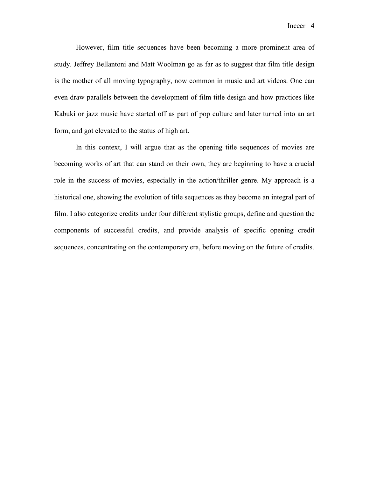However, film title sequences have been becoming a more prominent area of study. Jeffrey Bellantoni and Matt Woolman go as far as to suggest that film title design is the mother of all moving typography, now common in music and art videos. One can even draw parallels between the development of film title design and how practices like Kabuki or jazz music have started off as part of pop culture and later turned into an art form, and got elevated to the status of high art.

In this context, I will argue that as the opening title sequences of movies are becoming works of art that can stand on their own, they are beginning to have a crucial role in the success of movies, especially in the action/thriller genre. My approach is a historical one, showing the evolution of title sequences as they become an integral part of film. I also categorize credits under four different stylistic groups, define and question the components of successful credits, and provide analysis of specific opening credit sequences, concentrating on the contemporary era, before moving on the future of credits.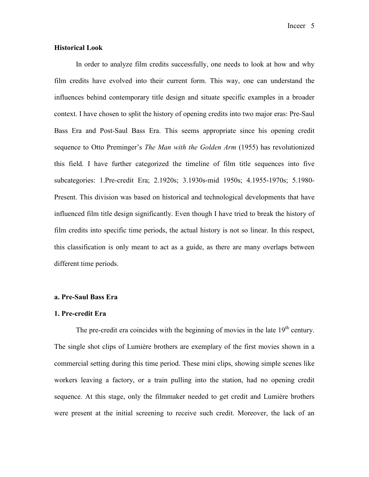Inceer 5

# **Historical Look**

In order to analyze film credits successfully, one needs to look at how and why film credits have evolved into their current form. This way, one can understand the influences behind contemporary title design and situate specific examples in a broader context. I have chosen to split the history of opening credits into two major eras: Pre-Saul Bass Era and Post-Saul Bass Era. This seems appropriate since his opening credit sequence to Otto Preminger's *The Man with the Golden Arm* (1955) has revolutionized this field. I have further categorized the timeline of film title sequences into five subcategories: 1.Pre-credit Era; 2.1920s; 3.1930s-mid 1950s; 4.1955-1970s; 5.1980- Present. This division was based on historical and technological developments that have influenced film title design significantly. Even though I have tried to break the history of film credits into specific time periods, the actual history is not so linear. In this respect, this classification is only meant to act as a guide, as there are many overlaps between different time periods.

# **a. Pre-Saul Bass Era**

#### **1. Pre-credit Era**

The pre-credit era coincides with the beginning of movies in the late  $19<sup>th</sup>$  century. The single shot clips of Lumière brothers are exemplary of the first movies shown in a commercial setting during this time period. These mini clips, showing simple scenes like workers leaving a factory, or a train pulling into the station, had no opening credit sequence. At this stage, only the filmmaker needed to get credit and Lumière brothers were present at the initial screening to receive such credit. Moreover, the lack of an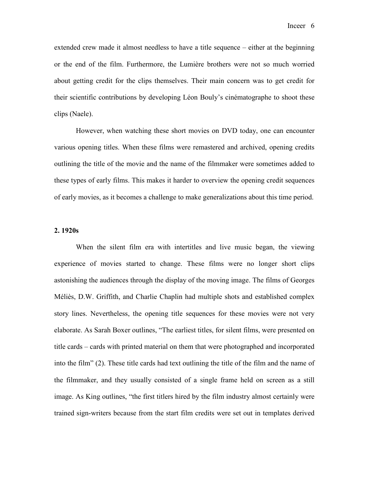extended crew made it almost needless to have a title sequence – either at the beginning or the end of the film. Furthermore, the Lumière brothers were not so much worried about getting credit for the clips themselves. Their main concern was to get credit for their scientific contributions by developing Léon Bouly's cinématographe to shoot these clips (Naele).

However, when watching these short movies on DVD today, one can encounter various opening titles. When these films were remastered and archived, opening credits outlining the title of the movie and the name of the filmmaker were sometimes added to these types of early films. This makes it harder to overview the opening credit sequences of early movies, as it becomes a challenge to make generalizations about this time period.

#### **2. 1920s**

When the silent film era with intertitles and live music began, the viewing experience of movies started to change. These films were no longer short clips astonishing the audiences through the display of the moving image. The films of Georges Méliès, D.W. Griffith, and Charlie Chaplin had multiple shots and established complex story lines. Nevertheless, the opening title sequences for these movies were not very elaborate. As Sarah Boxer outlines, "The earliest titles, for silent films, were presented on title cards – cards with printed material on them that were photographed and incorporated into the film" (2). These title cards had text outlining the title of the film and the name of the filmmaker, and they usually consisted of a single frame held on screen as a still image. As King outlines, "the first titlers hired by the film industry almost certainly were trained sign-writers because from the start film credits were set out in templates derived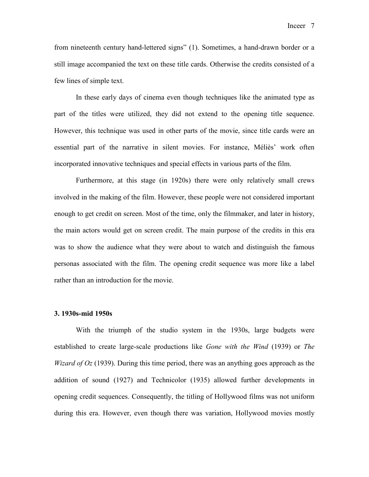Inceer 7

from nineteenth century hand-lettered signs" (1). Sometimes, a hand-drawn border or a still image accompanied the text on these title cards. Otherwise the credits consisted of a few lines of simple text.

In these early days of cinema even though techniques like the animated type as part of the titles were utilized, they did not extend to the opening title sequence. However, this technique was used in other parts of the movie, since title cards were an essential part of the narrative in silent movies. For instance, Méliès' work often incorporated innovative techniques and special effects in various parts of the film.

Furthermore, at this stage (in 1920s) there were only relatively small crews involved in the making of the film. However, these people were not considered important enough to get credit on screen. Most of the time, only the filmmaker, and later in history, the main actors would get on screen credit. The main purpose of the credits in this era was to show the audience what they were about to watch and distinguish the famous personas associated with the film. The opening credit sequence was more like a label rather than an introduction for the movie.

#### **3. 1930s-mid 1950s**

With the triumph of the studio system in the 1930s, large budgets were established to create large-scale productions like *Gone with the Wind* (1939) or *The Wizard of Oz* (1939). During this time period, there was an anything goes approach as the addition of sound (1927) and Technicolor (1935) allowed further developments in opening credit sequences. Consequently, the titling of Hollywood films was not uniform during this era. However, even though there was variation, Hollywood movies mostly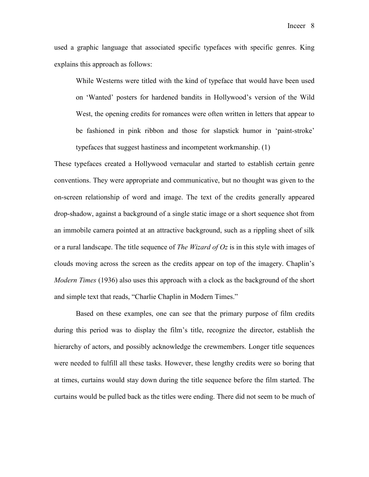used a graphic language that associated specific typefaces with specific genres. King explains this approach as follows:

While Westerns were titled with the kind of typeface that would have been used on 'Wanted' posters for hardened bandits in Hollywood's version of the Wild West, the opening credits for romances were often written in letters that appear to be fashioned in pink ribbon and those for slapstick humor in 'paint-stroke' typefaces that suggest hastiness and incompetent workmanship. (1)

These typefaces created a Hollywood vernacular and started to establish certain genre conventions. They were appropriate and communicative, but no thought was given to the on-screen relationship of word and image. The text of the credits generally appeared drop-shadow, against a background of a single static image or a short sequence shot from an immobile camera pointed at an attractive background, such as a rippling sheet of silk or a rural landscape. The title sequence of *The Wizard of Oz* is in this style with images of clouds moving across the screen as the credits appear on top of the imagery. Chaplin's *Modern Times* (1936) also uses this approach with a clock as the background of the short and simple text that reads, "Charlie Chaplin in Modern Times."

Based on these examples, one can see that the primary purpose of film credits during this period was to display the film's title, recognize the director, establish the hierarchy of actors, and possibly acknowledge the crewmembers. Longer title sequences were needed to fulfill all these tasks. However, these lengthy credits were so boring that at times, curtains would stay down during the title sequence before the film started. The curtains would be pulled back as the titles were ending. There did not seem to be much of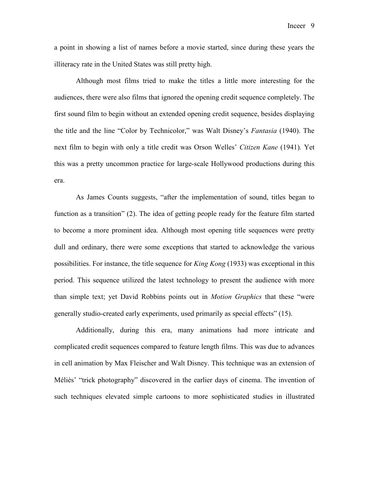a point in showing a list of names before a movie started, since during these years the illiteracy rate in the United States was still pretty high.

Although most films tried to make the titles a little more interesting for the audiences, there were also films that ignored the opening credit sequence completely. The first sound film to begin without an extended opening credit sequence, besides displaying the title and the line "Color by Technicolor," was Walt Disney's *Fantasia* (1940). The next film to begin with only a title credit was Orson Welles' *Citizen Kane* (1941)*.* Yet this was a pretty uncommon practice for large-scale Hollywood productions during this era.

As James Counts suggests, "after the implementation of sound, titles began to function as a transition" (2). The idea of getting people ready for the feature film started to become a more prominent idea. Although most opening title sequences were pretty dull and ordinary, there were some exceptions that started to acknowledge the various possibilities. For instance, the title sequence for *King Kong* (1933) was exceptional in this period. This sequence utilized the latest technology to present the audience with more than simple text; yet David Robbins points out in *Motion Graphics* that these "were generally studio-created early experiments, used primarily as special effects" (15).

Additionally, during this era, many animations had more intricate and complicated credit sequences compared to feature length films. This was due to advances in cell animation by Max Fleischer and Walt Disney. This technique was an extension of Méliès' "trick photography" discovered in the earlier days of cinema. The invention of such techniques elevated simple cartoons to more sophisticated studies in illustrated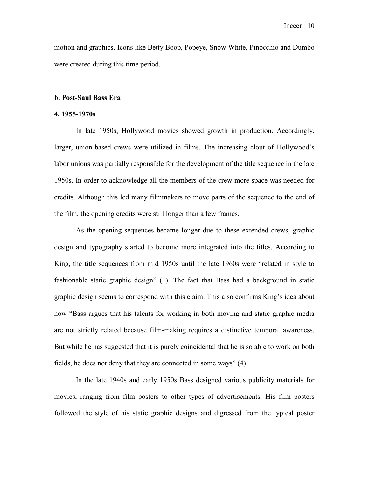motion and graphics. Icons like Betty Boop, Popeye, Snow White, Pinocchio and Dumbo were created during this time period.

### **b. Post-Saul Bass Era**

#### **4. 1955-1970s**

In late 1950s, Hollywood movies showed growth in production. Accordingly, larger, union-based crews were utilized in films. The increasing clout of Hollywood's labor unions was partially responsible for the development of the title sequence in the late 1950s. In order to acknowledge all the members of the crew more space was needed for credits. Although this led many filmmakers to move parts of the sequence to the end of the film, the opening credits were still longer than a few frames.

As the opening sequences became longer due to these extended crews, graphic design and typography started to become more integrated into the titles. According to King, the title sequences from mid 1950s until the late 1960s were "related in style to fashionable static graphic design" (1). The fact that Bass had a background in static graphic design seems to correspond with this claim. This also confirms King's idea about how "Bass argues that his talents for working in both moving and static graphic media are not strictly related because film-making requires a distinctive temporal awareness. But while he has suggested that it is purely coincidental that he is so able to work on both fields, he does not deny that they are connected in some ways" (4).

In the late 1940s and early 1950s Bass designed various publicity materials for movies, ranging from film posters to other types of advertisements. His film posters followed the style of his static graphic designs and digressed from the typical poster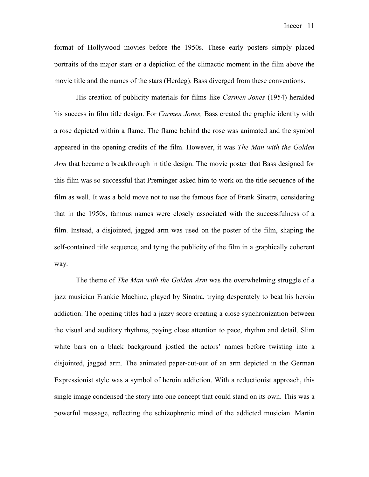format of Hollywood movies before the 1950s. These early posters simply placed portraits of the major stars or a depiction of the climactic moment in the film above the movie title and the names of the stars (Herdeg). Bass diverged from these conventions.

His creation of publicity materials for films like *Carmen Jones* (1954) heralded his success in film title design. For *Carmen Jones,* Bass created the graphic identity with a rose depicted within a flame. The flame behind the rose was animated and the symbol appeared in the opening credits of the film. However, it was *The Man with the Golden Arm* that became a breakthrough in title design. The movie poster that Bass designed for this film was so successful that Preminger asked him to work on the title sequence of the film as well. It was a bold move not to use the famous face of Frank Sinatra, considering that in the 1950s, famous names were closely associated with the successfulness of a film. Instead, a disjointed, jagged arm was used on the poster of the film, shaping the self-contained title sequence, and tying the publicity of the film in a graphically coherent way.

The theme of *The Man with the Golden Arm* was the overwhelming struggle of a jazz musician Frankie Machine, played by Sinatra, trying desperately to beat his heroin addiction. The opening titles had a jazzy score creating a close synchronization between the visual and auditory rhythms, paying close attention to pace, rhythm and detail. Slim white bars on a black background jostled the actors' names before twisting into a disjointed, jagged arm. The animated paper-cut-out of an arm depicted in the German Expressionist style was a symbol of heroin addiction. With a reductionist approach, this single image condensed the story into one concept that could stand on its own. This was a powerful message, reflecting the schizophrenic mind of the addicted musician. Martin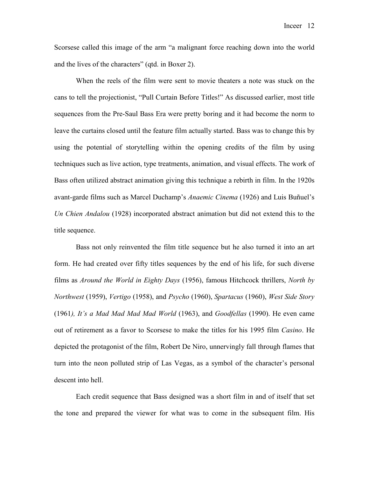Scorsese called this image of the arm "a malignant force reaching down into the world and the lives of the characters" (qtd. in Boxer 2).

When the reels of the film were sent to movie theaters a note was stuck on the cans to tell the projectionist, "Pull Curtain Before Titles!" As discussed earlier, most title sequences from the Pre-Saul Bass Era were pretty boring and it had become the norm to leave the curtains closed until the feature film actually started. Bass was to change this by using the potential of storytelling within the opening credits of the film by using techniques such as live action, type treatments, animation, and visual effects. The work of Bass often utilized abstract animation giving this technique a rebirth in film. In the 1920s avant-garde films such as Marcel Duchamp's *Anaemic Cinema* (1926) and Luis Buñuel's *Un Chien Andalou* (1928) incorporated abstract animation but did not extend this to the title sequence.

Bass not only reinvented the film title sequence but he also turned it into an art form. He had created over fifty titles sequences by the end of his life, for such diverse films as *Around the World in Eighty Days* (1956), famous Hitchcock thrillers, *North by Northwest* (1959), *Vertigo* (1958), and *Psycho* (1960), *Spartacus* (1960), *West Side Story* (1961*), It's a Mad Mad Mad Mad World* (1963), and *Goodfellas* (1990). He even came out of retirement as a favor to Scorsese to make the titles for his 1995 film *Casino*. He depicted the protagonist of the film, Robert De Niro, unnervingly fall through flames that turn into the neon polluted strip of Las Vegas, as a symbol of the character's personal descent into hell.

Each credit sequence that Bass designed was a short film in and of itself that set the tone and prepared the viewer for what was to come in the subsequent film. His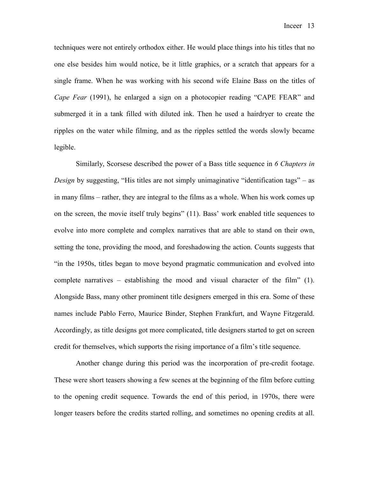techniques were not entirely orthodox either. He would place things into his titles that no one else besides him would notice, be it little graphics, or a scratch that appears for a single frame. When he was working with his second wife Elaine Bass on the titles of *Cape Fear* (1991), he enlarged a sign on a photocopier reading "CAPE FEAR" and submerged it in a tank filled with diluted ink. Then he used a hairdryer to create the ripples on the water while filming, and as the ripples settled the words slowly became legible.

Similarly, Scorsese described the power of a Bass title sequence in *6 Chapters in Design* by suggesting, "His titles are not simply unimaginative "identification tags" – as in many films – rather, they are integral to the films as a whole. When his work comes up on the screen, the movie itself truly begins" (11). Bass' work enabled title sequences to evolve into more complete and complex narratives that are able to stand on their own, setting the tone, providing the mood, and foreshadowing the action. Counts suggests that "in the 1950s, titles began to move beyond pragmatic communication and evolved into complete narratives – establishing the mood and visual character of the film" (1). Alongside Bass, many other prominent title designers emerged in this era. Some of these names include Pablo Ferro, Maurice Binder, Stephen Frankfurt, and Wayne Fitzgerald. Accordingly, as title designs got more complicated, title designers started to get on screen credit for themselves, which supports the rising importance of a film's title sequence.

Another change during this period was the incorporation of pre-credit footage. These were short teasers showing a few scenes at the beginning of the film before cutting to the opening credit sequence. Towards the end of this period, in 1970s, there were longer teasers before the credits started rolling, and sometimes no opening credits at all.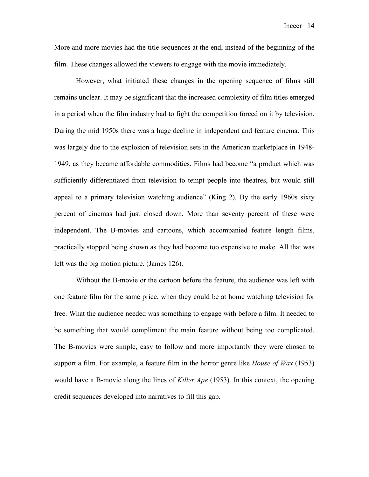More and more movies had the title sequences at the end, instead of the beginning of the film. These changes allowed the viewers to engage with the movie immediately.

However, what initiated these changes in the opening sequence of films still remains unclear. It may be significant that the increased complexity of film titles emerged in a period when the film industry had to fight the competition forced on it by television. During the mid 1950s there was a huge decline in independent and feature cinema. This was largely due to the explosion of television sets in the American marketplace in 1948- 1949, as they became affordable commodities. Films had become "a product which was sufficiently differentiated from television to tempt people into theatres, but would still appeal to a primary television watching audience" (King 2). By the early 1960s sixty percent of cinemas had just closed down. More than seventy percent of these were independent. The B-movies and cartoons, which accompanied feature length films, practically stopped being shown as they had become too expensive to make. All that was left was the big motion picture. (James 126).

Without the B-movie or the cartoon before the feature, the audience was left with one feature film for the same price, when they could be at home watching television for free. What the audience needed was something to engage with before a film. It needed to be something that would compliment the main feature without being too complicated. The B-movies were simple, easy to follow and more importantly they were chosen to support a film. For example, a feature film in the horror genre like *House of Wax* (1953) would have a B-movie along the lines of *Killer Ape* (1953). In this context, the opening credit sequences developed into narratives to fill this gap.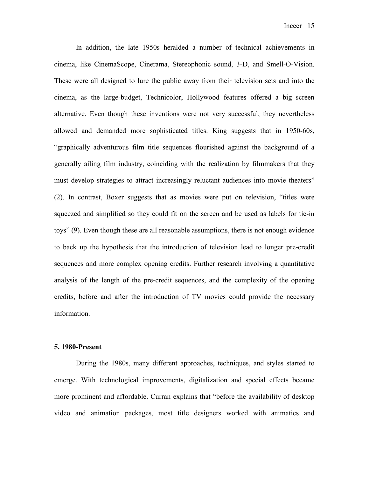In addition, the late 1950s heralded a number of technical achievements in cinema, like CinemaScope, Cinerama, Stereophonic sound, 3-D, and Smell-O-Vision. These were all designed to lure the public away from their television sets and into the cinema, as the large-budget, Technicolor, Hollywood features offered a big screen alternative. Even though these inventions were not very successful, they nevertheless allowed and demanded more sophisticated titles. King suggests that in 1950-60s, "graphically adventurous film title sequences flourished against the background of a generally ailing film industry, coinciding with the realization by filmmakers that they must develop strategies to attract increasingly reluctant audiences into movie theaters" (2). In contrast, Boxer suggests that as movies were put on television, "titles were squeezed and simplified so they could fit on the screen and be used as labels for tie-in toys" (9). Even though these are all reasonable assumptions, there is not enough evidence to back up the hypothesis that the introduction of television lead to longer pre-credit sequences and more complex opening credits. Further research involving a quantitative analysis of the length of the pre-credit sequences, and the complexity of the opening credits, before and after the introduction of TV movies could provide the necessary information.

#### **5. 1980-Present**

During the 1980s, many different approaches, techniques, and styles started to emerge. With technological improvements, digitalization and special effects became more prominent and affordable. Curran explains that "before the availability of desktop video and animation packages, most title designers worked with animatics and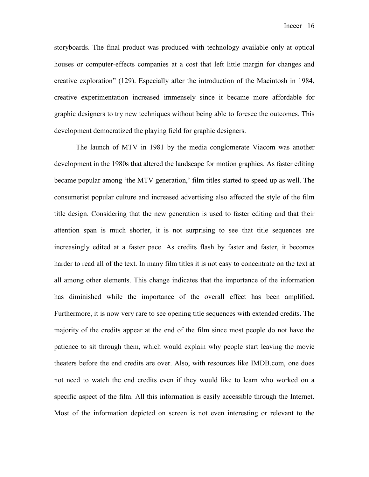storyboards. The final product was produced with technology available only at optical houses or computer-effects companies at a cost that left little margin for changes and creative exploration" (129). Especially after the introduction of the Macintosh in 1984, creative experimentation increased immensely since it became more affordable for graphic designers to try new techniques without being able to foresee the outcomes. This development democratized the playing field for graphic designers.

The launch of MTV in 1981 by the media conglomerate Viacom was another development in the 1980s that altered the landscape for motion graphics. As faster editing became popular among 'the MTV generation,' film titles started to speed up as well. The consumerist popular culture and increased advertising also affected the style of the film title design. Considering that the new generation is used to faster editing and that their attention span is much shorter, it is not surprising to see that title sequences are increasingly edited at a faster pace. As credits flash by faster and faster, it becomes harder to read all of the text. In many film titles it is not easy to concentrate on the text at all among other elements. This change indicates that the importance of the information has diminished while the importance of the overall effect has been amplified. Furthermore, it is now very rare to see opening title sequences with extended credits. The majority of the credits appear at the end of the film since most people do not have the patience to sit through them, which would explain why people start leaving the movie theaters before the end credits are over. Also, with resources like IMDB.com, one does not need to watch the end credits even if they would like to learn who worked on a specific aspect of the film. All this information is easily accessible through the Internet. Most of the information depicted on screen is not even interesting or relevant to the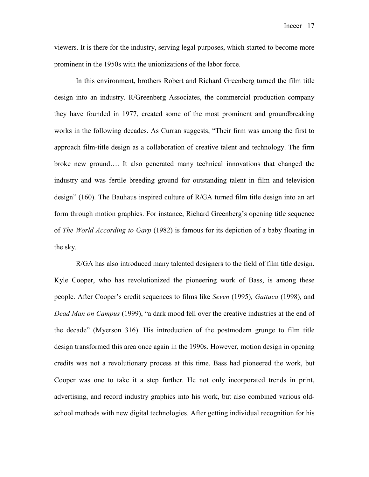viewers. It is there for the industry, serving legal purposes, which started to become more prominent in the 1950s with the unionizations of the labor force.

In this environment, brothers Robert and Richard Greenberg turned the film title design into an industry. R/Greenberg Associates, the commercial production company they have founded in 1977, created some of the most prominent and groundbreaking works in the following decades. As Curran suggests, "Their firm was among the first to approach film-title design as a collaboration of creative talent and technology. The firm broke new ground…. It also generated many technical innovations that changed the industry and was fertile breeding ground for outstanding talent in film and television design" (160). The Bauhaus inspired culture of R/GA turned film title design into an art form through motion graphics. For instance, Richard Greenberg's opening title sequence of *The World According to Garp* (1982) is famous for its depiction of a baby floating in the sky.

R/GA has also introduced many talented designers to the field of film title design. Kyle Cooper, who has revolutionized the pioneering work of Bass, is among these people. After Cooper's credit sequences to films like *Seven* (1995)*, Gattaca* (1998)*,* and *Dead Man on Campus* (1999), "a dark mood fell over the creative industries at the end of the decade" (Myerson 316). His introduction of the postmodern grunge to film title design transformed this area once again in the 1990s. However, motion design in opening credits was not a revolutionary process at this time. Bass had pioneered the work, but Cooper was one to take it a step further. He not only incorporated trends in print, advertising, and record industry graphics into his work, but also combined various oldschool methods with new digital technologies. After getting individual recognition for his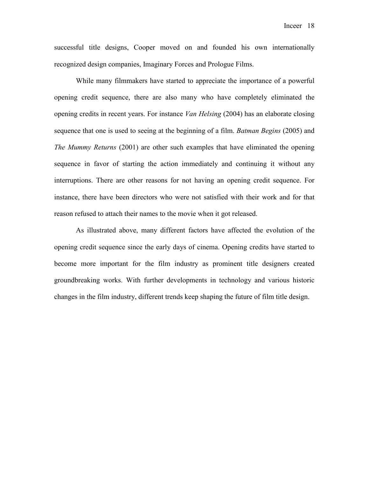successful title designs, Cooper moved on and founded his own internationally recognized design companies, Imaginary Forces and Prologue Films.

While many filmmakers have started to appreciate the importance of a powerful opening credit sequence, there are also many who have completely eliminated the opening credits in recent years. For instance *Van Helsing* (2004) has an elaborate closing sequence that one is used to seeing at the beginning of a film. *Batman Begins* (2005) and *The Mummy Returns* (2001) are other such examples that have eliminated the opening sequence in favor of starting the action immediately and continuing it without any interruptions. There are other reasons for not having an opening credit sequence. For instance, there have been directors who were not satisfied with their work and for that reason refused to attach their names to the movie when it got released.

As illustrated above, many different factors have affected the evolution of the opening credit sequence since the early days of cinema. Opening credits have started to become more important for the film industry as prominent title designers created groundbreaking works. With further developments in technology and various historic changes in the film industry, different trends keep shaping the future of film title design.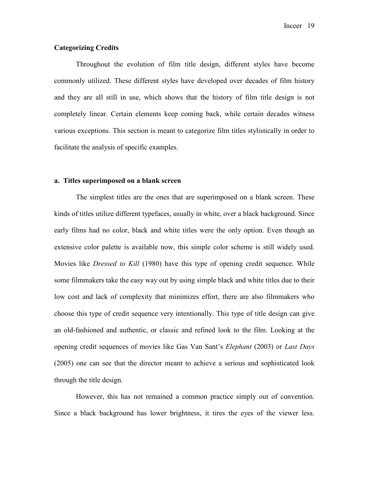# **Categorizing Credits**

 Throughout the evolution of film title design, different styles have become commonly utilized. These different styles have developed over decades of film history and they are all still in use, which shows that the history of film title design is not completely linear. Certain elements keep coming back, while certain decades witness various exceptions. This section is meant to categorize film titles stylistically in order to facilitate the analysis of specific examples.

#### **a. Titles superimposed on a blank screen**

The simplest titles are the ones that are superimposed on a blank screen. These kinds of titles utilize different typefaces, usually in white, over a black background. Since early films had no color, black and white titles were the only option. Even though an extensive color palette is available now, this simple color scheme is still widely used. Movies like *Dressed to Kill* (1980) have this type of opening credit sequence. While some filmmakers take the easy way out by using simple black and white titles due to their low cost and lack of complexity that minimizes effort, there are also filmmakers who choose this type of credit sequence very intentionally. This type of title design can give an old-fashioned and authentic, or classic and refined look to the film. Looking at the opening credit sequences of movies like Gas Van Sant's *Elephant* (2003) or *Last Days*  (2005) one can see that the director meant to achieve a serious and sophisticated look through the title design.

However, this has not remained a common practice simply out of convention. Since a black background has lower brightness, it tires the eyes of the viewer less.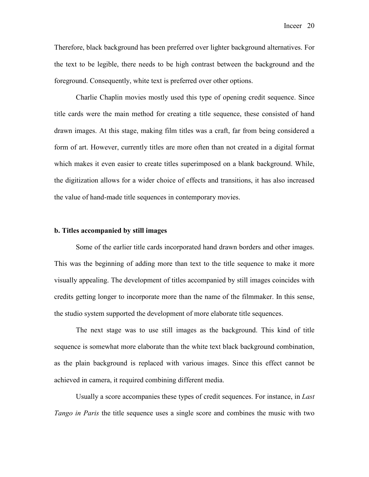Therefore, black background has been preferred over lighter background alternatives. For the text to be legible, there needs to be high contrast between the background and the foreground. Consequently, white text is preferred over other options.

Charlie Chaplin movies mostly used this type of opening credit sequence. Since title cards were the main method for creating a title sequence, these consisted of hand drawn images. At this stage, making film titles was a craft, far from being considered a form of art. However, currently titles are more often than not created in a digital format which makes it even easier to create titles superimposed on a blank background. While, the digitization allows for a wider choice of effects and transitions, it has also increased the value of hand-made title sequences in contemporary movies.

#### **b. Titles accompanied by still images**

Some of the earlier title cards incorporated hand drawn borders and other images. This was the beginning of adding more than text to the title sequence to make it more visually appealing. The development of titles accompanied by still images coincides with credits getting longer to incorporate more than the name of the filmmaker. In this sense, the studio system supported the development of more elaborate title sequences.

The next stage was to use still images as the background. This kind of title sequence is somewhat more elaborate than the white text black background combination, as the plain background is replaced with various images. Since this effect cannot be achieved in camera, it required combining different media.

Usually a score accompanies these types of credit sequences. For instance, in *Last Tango in Paris* the title sequence uses a single score and combines the music with two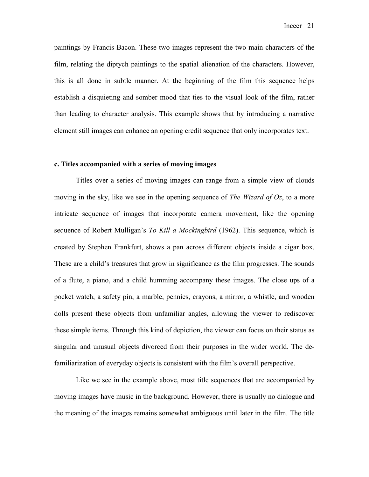paintings by Francis Bacon. These two images represent the two main characters of the film, relating the diptych paintings to the spatial alienation of the characters. However, this is all done in subtle manner. At the beginning of the film this sequence helps establish a disquieting and somber mood that ties to the visual look of the film, rather than leading to character analysis. This example shows that by introducing a narrative element still images can enhance an opening credit sequence that only incorporates text.

### **c. Titles accompanied with a series of moving images**

Titles over a series of moving images can range from a simple view of clouds moving in the sky, like we see in the opening sequence of *The Wizard of Oz*, to a more intricate sequence of images that incorporate camera movement, like the opening sequence of Robert Mulligan's *To Kill a Mockingbird* (1962). This sequence, which is created by Stephen Frankfurt, shows a pan across different objects inside a cigar box. These are a child's treasures that grow in significance as the film progresses. The sounds of a flute, a piano, and a child humming accompany these images. The close ups of a pocket watch, a safety pin, a marble, pennies, crayons, a mirror, a whistle, and wooden dolls present these objects from unfamiliar angles, allowing the viewer to rediscover these simple items. Through this kind of depiction, the viewer can focus on their status as singular and unusual objects divorced from their purposes in the wider world. The defamiliarization of everyday objects is consistent with the film's overall perspective.

Like we see in the example above, most title sequences that are accompanied by moving images have music in the background. However, there is usually no dialogue and the meaning of the images remains somewhat ambiguous until later in the film. The title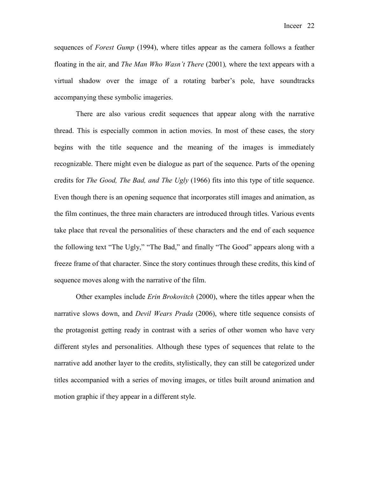Inceer 22

sequences of *Forest Gump* (1994), where titles appear as the camera follows a feather floating in the air*,* and *The Man Who Wasn't There* (2001)*,* where the text appears with a virtual shadow over the image of a rotating barber's pole, have soundtracks accompanying these symbolic imageries.

There are also various credit sequences that appear along with the narrative thread. This is especially common in action movies. In most of these cases, the story begins with the title sequence and the meaning of the images is immediately recognizable. There might even be dialogue as part of the sequence. Parts of the opening credits for *The Good, The Bad, and The Ugly* (1966) fits into this type of title sequence. Even though there is an opening sequence that incorporates still images and animation, as the film continues, the three main characters are introduced through titles. Various events take place that reveal the personalities of these characters and the end of each sequence the following text "The Ugly," "The Bad," and finally "The Good" appears along with a freeze frame of that character. Since the story continues through these credits, this kind of sequence moves along with the narrative of the film.

Other examples include *Erin Brokovitch* (2000), where the titles appear when the narrative slows down, and *Devil Wears Prada* (2006), where title sequence consists of the protagonist getting ready in contrast with a series of other women who have very different styles and personalities. Although these types of sequences that relate to the narrative add another layer to the credits, stylistically, they can still be categorized under titles accompanied with a series of moving images, or titles built around animation and motion graphic if they appear in a different style.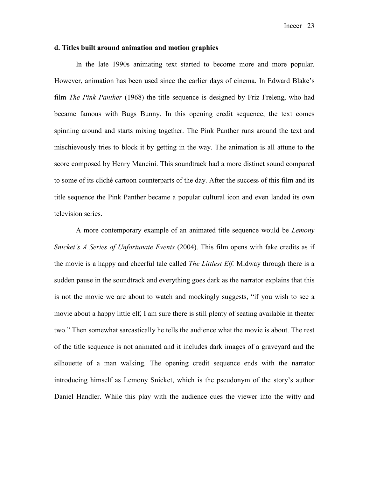### **d. Titles built around animation and motion graphics**

In the late 1990s animating text started to become more and more popular. However, animation has been used since the earlier days of cinema. In Edward Blake's film *The Pink Panther* (1968) the title sequence is designed by Friz Freleng, who had became famous with Bugs Bunny. In this opening credit sequence, the text comes spinning around and starts mixing together. The Pink Panther runs around the text and mischievously tries to block it by getting in the way. The animation is all attune to the score composed by Henry Mancini. This soundtrack had a more distinct sound compared to some of its cliché cartoon counterparts of the day. After the success of this film and its title sequence the Pink Panther became a popular cultural icon and even landed its own television series.

A more contemporary example of an animated title sequence would be *Lemony Snicket's A Series of Unfortunate Events* (2004). This film opens with fake credits as if the movie is a happy and cheerful tale called *The Littlest Elf.* Midway through there is a sudden pause in the soundtrack and everything goes dark as the narrator explains that this is not the movie we are about to watch and mockingly suggests, "if you wish to see a movie about a happy little elf, I am sure there is still plenty of seating available in theater two." Then somewhat sarcastically he tells the audience what the movie is about. The rest of the title sequence is not animated and it includes dark images of a graveyard and the silhouette of a man walking. The opening credit sequence ends with the narrator introducing himself as Lemony Snicket, which is the pseudonym of the story's author Daniel Handler. While this play with the audience cues the viewer into the witty and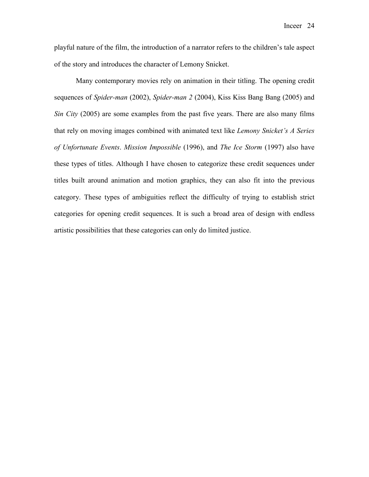playful nature of the film, the introduction of a narrator refers to the children's tale aspect of the story and introduces the character of Lemony Snicket.

Many contemporary movies rely on animation in their titling. The opening credit sequences of *Spider-man* (2002), *Spider-man 2* (2004), Kiss Kiss Bang Bang (2005) and *Sin City* (2005) are some examples from the past five years. There are also many films that rely on moving images combined with animated text like *Lemony Snicket's A Series of Unfortunate Events*. *Mission Impossible* (1996), and *The Ice Storm* (1997) also have these types of titles. Although I have chosen to categorize these credit sequences under titles built around animation and motion graphics, they can also fit into the previous category. These types of ambiguities reflect the difficulty of trying to establish strict categories for opening credit sequences. It is such a broad area of design with endless artistic possibilities that these categories can only do limited justice.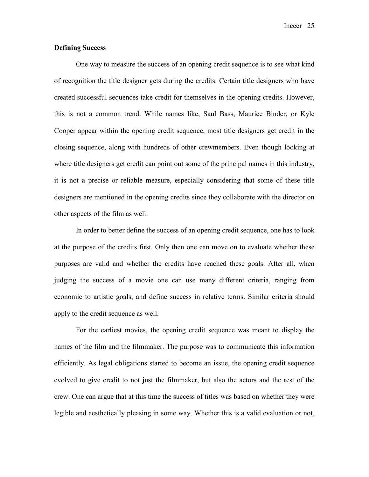Inceer 25

# **Defining Success**

One way to measure the success of an opening credit sequence is to see what kind of recognition the title designer gets during the credits. Certain title designers who have created successful sequences take credit for themselves in the opening credits. However, this is not a common trend. While names like, Saul Bass, Maurice Binder, or Kyle Cooper appear within the opening credit sequence, most title designers get credit in the closing sequence, along with hundreds of other crewmembers. Even though looking at where title designers get credit can point out some of the principal names in this industry, it is not a precise or reliable measure, especially considering that some of these title designers are mentioned in the opening credits since they collaborate with the director on other aspects of the film as well.

In order to better define the success of an opening credit sequence, one has to look at the purpose of the credits first. Only then one can move on to evaluate whether these purposes are valid and whether the credits have reached these goals. After all, when judging the success of a movie one can use many different criteria, ranging from economic to artistic goals, and define success in relative terms. Similar criteria should apply to the credit sequence as well.

For the earliest movies, the opening credit sequence was meant to display the names of the film and the filmmaker. The purpose was to communicate this information efficiently. As legal obligations started to become an issue, the opening credit sequence evolved to give credit to not just the filmmaker, but also the actors and the rest of the crew. One can argue that at this time the success of titles was based on whether they were legible and aesthetically pleasing in some way. Whether this is a valid evaluation or not,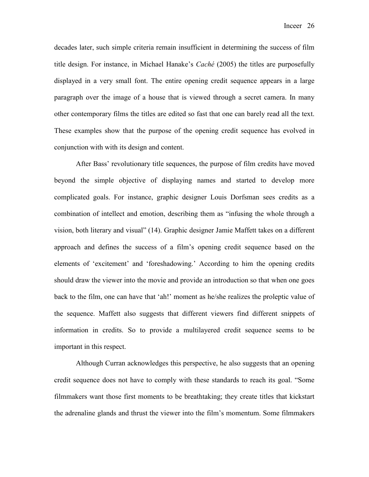decades later, such simple criteria remain insufficient in determining the success of film title design. For instance, in Michael Hanake's *Caché* (2005) the titles are purposefully displayed in a very small font. The entire opening credit sequence appears in a large paragraph over the image of a house that is viewed through a secret camera. In many other contemporary films the titles are edited so fast that one can barely read all the text. These examples show that the purpose of the opening credit sequence has evolved in conjunction with with its design and content.

After Bass' revolutionary title sequences, the purpose of film credits have moved beyond the simple objective of displaying names and started to develop more complicated goals. For instance, graphic designer Louis Dorfsman sees credits as a combination of intellect and emotion, describing them as "infusing the whole through a vision, both literary and visual" (14). Graphic designer Jamie Maffett takes on a different approach and defines the success of a film's opening credit sequence based on the elements of 'excitement' and 'foreshadowing.' According to him the opening credits should draw the viewer into the movie and provide an introduction so that when one goes back to the film, one can have that 'ah!' moment as he/she realizes the proleptic value of the sequence. Maffett also suggests that different viewers find different snippets of information in credits. So to provide a multilayered credit sequence seems to be important in this respect.

Although Curran acknowledges this perspective, he also suggests that an opening credit sequence does not have to comply with these standards to reach its goal. "Some filmmakers want those first moments to be breathtaking; they create titles that kickstart the adrenaline glands and thrust the viewer into the film's momentum. Some filmmakers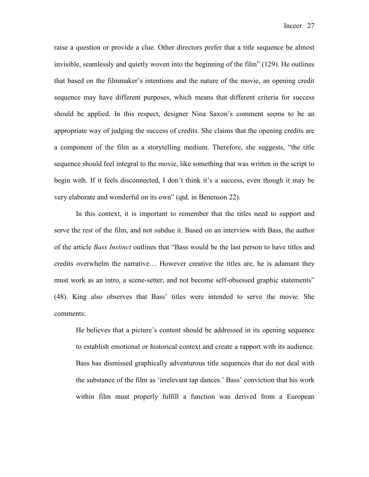raise a question or provide a clue. Other directors prefer that a title sequence be almost invisible, seamlessly and quietly woven into the beginning of the film" (129). He outlines that based on the filmmaker's intentions and the nature of the movie, an opening credit sequence may have different purposes, which means that different criteria for success should be applied. In this respect, designer Nina Saxon's comment seems to be an appropriate way of judging the success of credits. She claims that the opening credits are a component of the film as a storytelling medium. Therefore, she suggests, "the title sequence should feel integral to the movie, like something that was written in the script to begin with. If it feels disconnected, I don't think it's a success, even though it may be very elaborate and wonderful on its own" (qtd. in Benenson 22).

In this context, it is important to remember that the titles need to support and serve the rest of the film, and not subdue it. Based on an interview with Bass, the author of the article *Bass Instinct* outlines that "Bass would be the last person to have titles and credits overwhelm the narrative… However creative the titles are, he is adamant they must work as an intro, a scene-setter, and not become self-obsessed graphic statements" (48). King also observes that Bass' titles were intended to serve the movie. She comments:

He believes that a picture's content should be addressed in its opening sequence to establish emotional or historical context and create a rapport with its audience. Bass has dismissed graphically adventurous title sequences that do not deal with the substance of the film as 'irrelevant tap dances.' Bass' conviction that his work within film must properly fulfill a function was derived from a European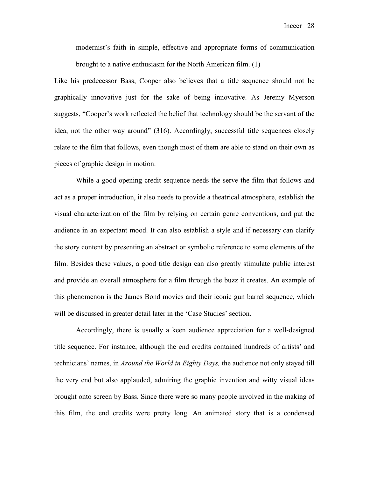modernist's faith in simple, effective and appropriate forms of communication brought to a native enthusiasm for the North American film. (1)

Like his predecessor Bass, Cooper also believes that a title sequence should not be graphically innovative just for the sake of being innovative. As Jeremy Myerson suggests, "Cooper's work reflected the belief that technology should be the servant of the idea, not the other way around" (316). Accordingly, successful title sequences closely relate to the film that follows, even though most of them are able to stand on their own as pieces of graphic design in motion.

While a good opening credit sequence needs the serve the film that follows and act as a proper introduction, it also needs to provide a theatrical atmosphere, establish the visual characterization of the film by relying on certain genre conventions, and put the audience in an expectant mood. It can also establish a style and if necessary can clarify the story content by presenting an abstract or symbolic reference to some elements of the film. Besides these values, a good title design can also greatly stimulate public interest and provide an overall atmosphere for a film through the buzz it creates. An example of this phenomenon is the James Bond movies and their iconic gun barrel sequence, which will be discussed in greater detail later in the 'Case Studies' section.

Accordingly, there is usually a keen audience appreciation for a well-designed title sequence. For instance, although the end credits contained hundreds of artists' and technicians' names, in *Around the World in Eighty Days,* the audience not only stayed till the very end but also applauded, admiring the graphic invention and witty visual ideas brought onto screen by Bass. Since there were so many people involved in the making of this film, the end credits were pretty long. An animated story that is a condensed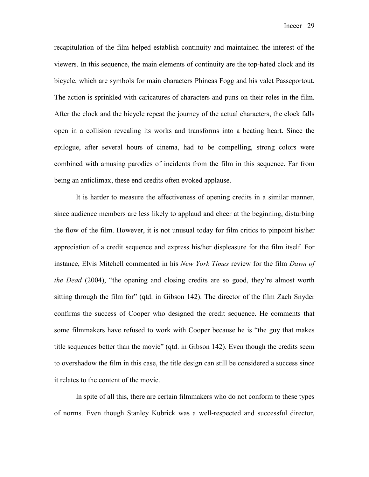recapitulation of the film helped establish continuity and maintained the interest of the viewers. In this sequence, the main elements of continuity are the top-hated clock and its bicycle, which are symbols for main characters Phineas Fogg and his valet Passeportout. The action is sprinkled with caricatures of characters and puns on their roles in the film. After the clock and the bicycle repeat the journey of the actual characters, the clock falls open in a collision revealing its works and transforms into a beating heart. Since the epilogue, after several hours of cinema, had to be compelling, strong colors were combined with amusing parodies of incidents from the film in this sequence. Far from being an anticlimax, these end credits often evoked applause.

It is harder to measure the effectiveness of opening credits in a similar manner, since audience members are less likely to applaud and cheer at the beginning, disturbing the flow of the film. However, it is not unusual today for film critics to pinpoint his/her appreciation of a credit sequence and express his/her displeasure for the film itself. For instance, Elvis Mitchell commented in his *New York Times* review for the film *Dawn of the Dead* (2004), "the opening and closing credits are so good, they're almost worth sitting through the film for" (qtd. in Gibson 142). The director of the film Zach Snyder confirms the success of Cooper who designed the credit sequence. He comments that some filmmakers have refused to work with Cooper because he is "the guy that makes title sequences better than the movie" (qtd. in Gibson 142). Even though the credits seem to overshadow the film in this case, the title design can still be considered a success since it relates to the content of the movie.

In spite of all this, there are certain filmmakers who do not conform to these types of norms. Even though Stanley Kubrick was a well-respected and successful director,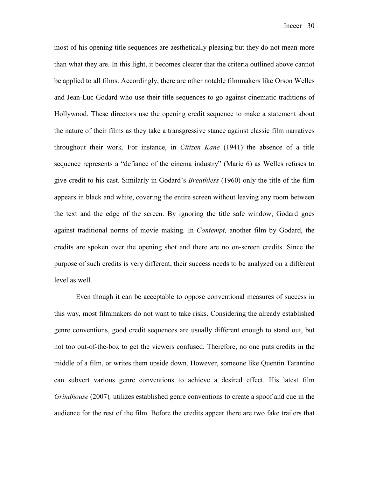most of his opening title sequences are aesthetically pleasing but they do not mean more than what they are. In this light, it becomes clearer that the criteria outlined above cannot be applied to all films. Accordingly, there are other notable filmmakers like Orson Welles and Jean-Luc Godard who use their title sequences to go against cinematic traditions of Hollywood. These directors use the opening credit sequence to make a statement about the nature of their films as they take a transgressive stance against classic film narratives throughout their work. For instance, in *Citizen Kane* (1941) the absence of a title sequence represents a "defiance of the cinema industry" (Marie 6) as Welles refuses to give credit to his cast. Similarly in Godard's *Breathless* (1960) only the title of the film appears in black and white, covering the entire screen without leaving any room between the text and the edge of the screen. By ignoring the title safe window, Godard goes against traditional norms of movie making. In *Contempt,* another film by Godard, the credits are spoken over the opening shot and there are no on-screen credits. Since the purpose of such credits is very different, their success needs to be analyzed on a different level as well.

Even though it can be acceptable to oppose conventional measures of success in this way, most filmmakers do not want to take risks. Considering the already established genre conventions, good credit sequences are usually different enough to stand out, but not too out-of-the-box to get the viewers confused. Therefore, no one puts credits in the middle of a film, or writes them upside down. However, someone like Quentin Tarantino can subvert various genre conventions to achieve a desired effect. His latest film *Grindhouse* (2007)*,* utilizes established genre conventions to create a spoof and cue in the audience for the rest of the film. Before the credits appear there are two fake trailers that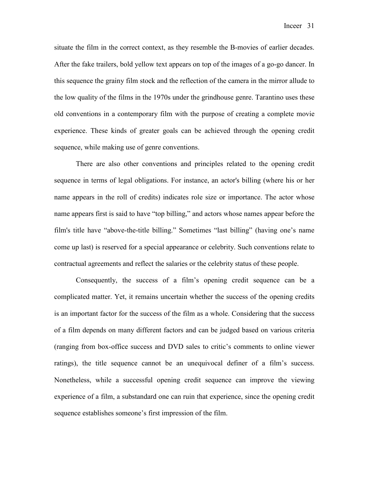situate the film in the correct context, as they resemble the B-movies of earlier decades. After the fake trailers, bold yellow text appears on top of the images of a go-go dancer. In this sequence the grainy film stock and the reflection of the camera in the mirror allude to the low quality of the films in the 1970s under the grindhouse genre. Tarantino uses these old conventions in a contemporary film with the purpose of creating a complete movie experience. These kinds of greater goals can be achieved through the opening credit sequence, while making use of genre conventions.

There are also other conventions and principles related to the opening credit sequence in terms of legal obligations. For instance, an actor's billing (where his or her name appears in the roll of credits) indicates role size or importance. The actor whose name appears first is said to have "top billing," and actors whose names appear before the film's title have "above-the-title billing." Sometimes "last billing" (having one's name come up last) is reserved for a special appearance or celebrity. Such conventions relate to contractual agreements and reflect the salaries or the celebrity status of these people.

Consequently, the success of a film's opening credit sequence can be a complicated matter. Yet, it remains uncertain whether the success of the opening credits is an important factor for the success of the film as a whole. Considering that the success of a film depends on many different factors and can be judged based on various criteria (ranging from box-office success and DVD sales to critic's comments to online viewer ratings), the title sequence cannot be an unequivocal definer of a film's success. Nonetheless, while a successful opening credit sequence can improve the viewing experience of a film, a substandard one can ruin that experience, since the opening credit sequence establishes someone's first impression of the film.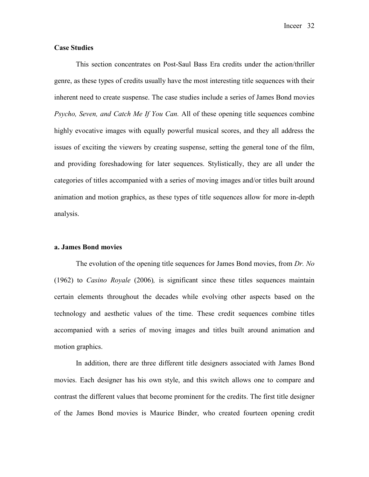Inceer 32

# **Case Studies**

This section concentrates on Post-Saul Bass Era credits under the action/thriller genre, as these types of credits usually have the most interesting title sequences with their inherent need to create suspense. The case studies include a series of James Bond movies *Psycho, Seven, and Catch Me If You Can.* All of these opening title sequences combine highly evocative images with equally powerful musical scores, and they all address the issues of exciting the viewers by creating suspense, setting the general tone of the film, and providing foreshadowing for later sequences. Stylistically, they are all under the categories of titles accompanied with a series of moving images and/or titles built around animation and motion graphics, as these types of title sequences allow for more in-depth analysis.

### **a. James Bond movies**

The evolution of the opening title sequences for James Bond movies, from *Dr. No* (1962) to *Casino Royale* (2006)*,* is significant since these titles sequences maintain certain elements throughout the decades while evolving other aspects based on the technology and aesthetic values of the time. These credit sequences combine titles accompanied with a series of moving images and titles built around animation and motion graphics.

In addition, there are three different title designers associated with James Bond movies. Each designer has his own style, and this switch allows one to compare and contrast the different values that become prominent for the credits. The first title designer of the James Bond movies is Maurice Binder, who created fourteen opening credit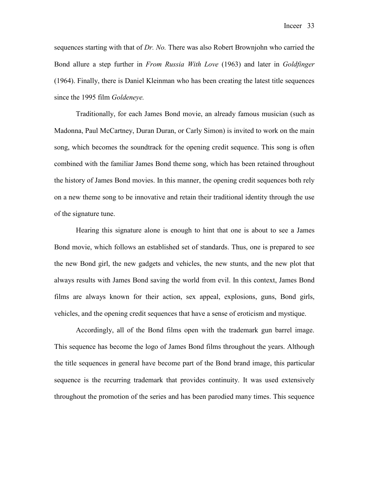Inceer 33

sequences starting with that of *Dr. No.* There was also Robert Brownjohn who carried the Bond allure a step further in *From Russia With Love* (1963) and later in *Goldfinger* (1964). Finally, there is Daniel Kleinman who has been creating the latest title sequences since the 1995 film *Goldeneye.*

Traditionally, for each James Bond movie, an already famous musician (such as Madonna, Paul McCartney, Duran Duran, or Carly Simon) is invited to work on the main song, which becomes the soundtrack for the opening credit sequence. This song is often combined with the familiar James Bond theme song, which has been retained throughout the history of James Bond movies. In this manner, the opening credit sequences both rely on a new theme song to be innovative and retain their traditional identity through the use of the signature tune.

Hearing this signature alone is enough to hint that one is about to see a James Bond movie, which follows an established set of standards. Thus, one is prepared to see the new Bond girl, the new gadgets and vehicles, the new stunts, and the new plot that always results with James Bond saving the world from evil. In this context, James Bond films are always known for their action, sex appeal, explosions, guns, Bond girls, vehicles, and the opening credit sequences that have a sense of eroticism and mystique.

Accordingly, all of the Bond films open with the trademark gun barrel image. This sequence has become the logo of James Bond films throughout the years. Although the title sequences in general have become part of the Bond brand image, this particular sequence is the recurring trademark that provides continuity. It was used extensively throughout the promotion of the series and has been parodied many times. This sequence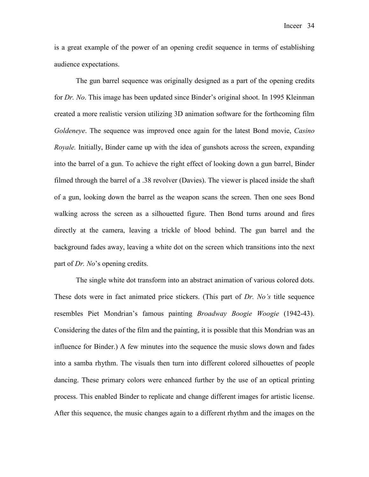is a great example of the power of an opening credit sequence in terms of establishing audience expectations.

The gun barrel sequence was originally designed as a part of the opening credits for *Dr. No*. This image has been updated since Binder's original shoot. In 1995 Kleinman created a more realistic version utilizing 3D animation software for the forthcoming film *Goldeneye*. The sequence was improved once again for the latest Bond movie, *Casino Royale.* Initially, Binder came up with the idea of gunshots across the screen, expanding into the barrel of a gun. To achieve the right effect of looking down a gun barrel, Binder filmed through the barrel of a .38 revolver (Davies). The viewer is placed inside the shaft of a gun, looking down the barrel as the weapon scans the screen. Then one sees Bond walking across the screen as a silhouetted figure. Then Bond turns around and fires directly at the camera, leaving a trickle of blood behind. The gun barrel and the background fades away, leaving a white dot on the screen which transitions into the next part of *Dr. No*'s opening credits.

The single white dot transform into an abstract animation of various colored dots. These dots were in fact animated price stickers. (This part of *Dr. No's* title sequence resembles Piet Mondrian's famous painting *Broadway Boogie Woogie* (1942-43). Considering the dates of the film and the painting, it is possible that this Mondrian was an influence for Binder.) A few minutes into the sequence the music slows down and fades into a samba rhythm. The visuals then turn into different colored silhouettes of people dancing. These primary colors were enhanced further by the use of an optical printing process. This enabled Binder to replicate and change different images for artistic license. After this sequence, the music changes again to a different rhythm and the images on the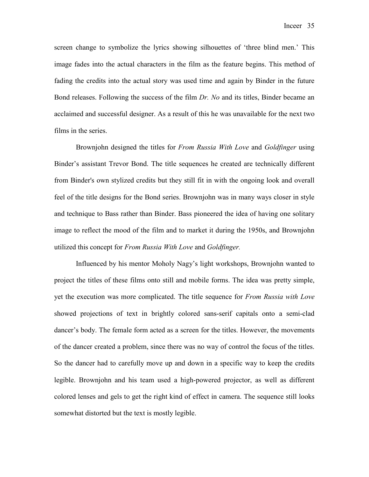screen change to symbolize the lyrics showing silhouettes of 'three blind men.' This image fades into the actual characters in the film as the feature begins. This method of fading the credits into the actual story was used time and again by Binder in the future Bond releases. Following the success of the film *Dr. No* and its titles, Binder became an acclaimed and successful designer. As a result of this he was unavailable for the next two films in the series.

Brownjohn designed the titles for *From Russia With Love* and *Goldfinger* using Binder's assistant Trevor Bond. The title sequences he created are technically different from Binder's own stylized credits but they still fit in with the ongoing look and overall feel of the title designs for the Bond series. Brownjohn was in many ways closer in style and technique to Bass rather than Binder. Bass pioneered the idea of having one solitary image to reflect the mood of the film and to market it during the 1950s, and Brownjohn utilized this concept for *From Russia With Love* and *Goldfinger.* 

Influenced by his mentor Moholy Nagy's light workshops, Brownjohn wanted to project the titles of these films onto still and mobile forms. The idea was pretty simple, yet the execution was more complicated. The title sequence for *From Russia with Love*  showed projections of text in brightly colored sans-serif capitals onto a semi-clad dancer's body. The female form acted as a screen for the titles. However, the movements of the dancer created a problem, since there was no way of control the focus of the titles. So the dancer had to carefully move up and down in a specific way to keep the credits legible. Brownjohn and his team used a high-powered projector, as well as different colored lenses and gels to get the right kind of effect in camera. The sequence still looks somewhat distorted but the text is mostly legible.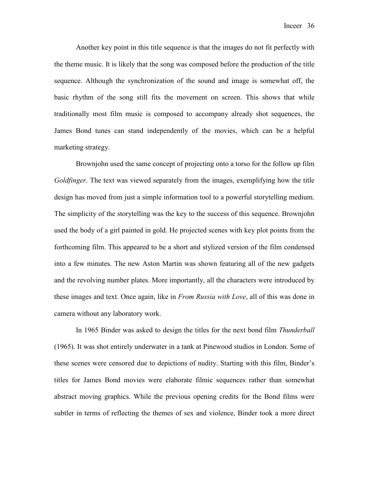Another key point in this title sequence is that the images do not fit perfectly with the theme music. It is likely that the song was composed before the production of the title sequence. Although the synchronization of the sound and image is somewhat off, the basic rhythm of the song still fits the movement on screen. This shows that while traditionally most film music is composed to accompany already shot sequences, the James Bond tunes can stand independently of the movies, which can be a helpful marketing strategy.

Brownjohn used the same concept of projecting onto a torso for the follow up film *Goldfinger*. The text was viewed separately from the images, exemplifying how the title design has moved from just a simple information tool to a powerful storytelling medium. The simplicity of the storytelling was the key to the success of this sequence. Brownjohn used the body of a girl painted in gold. He projected scenes with key plot points from the forthcoming film. This appeared to be a short and stylized version of the film condensed into a few minutes. The new Aston Martin was shown featuring all of the new gadgets and the revolving number plates. More importantly, all the characters were introduced by these images and text. Once again, like in *From Russia with Love*, all of this was done in camera without any laboratory work.

In 1965 Binder was asked to design the titles for the next bond film *Thunderball* (1965). It was shot entirely underwater in a tank at Pinewood studios in London. Some of these scenes were censored due to depictions of nudity. Starting with this film, Binder's titles for James Bond movies were elaborate filmic sequences rather than somewhat abstract moving graphics. While the previous opening credits for the Bond films were subtler in terms of reflecting the themes of sex and violence, Binder took a more direct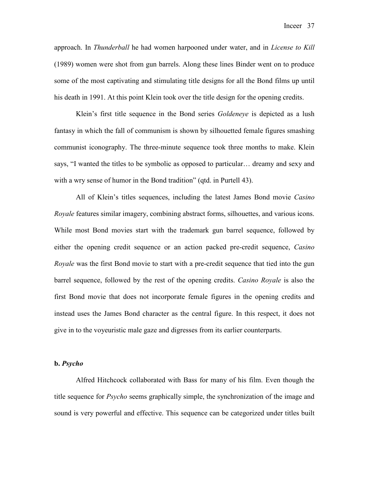approach. In *Thunderball* he had women harpooned under water, and in *License to Kill*  (1989) women were shot from gun barrels. Along these lines Binder went on to produce some of the most captivating and stimulating title designs for all the Bond films up until his death in 1991. At this point Klein took over the title design for the opening credits.

Klein's first title sequence in the Bond series *Goldeneye* is depicted as a lush fantasy in which the fall of communism is shown by silhouetted female figures smashing communist iconography. The three-minute sequence took three months to make. Klein says, "I wanted the titles to be symbolic as opposed to particular… dreamy and sexy and with a wry sense of humor in the Bond tradition" (qtd. in Purtell 43).

All of Klein's titles sequences, including the latest James Bond movie *Casino Royale* features similar imagery, combining abstract forms, silhouettes, and various icons. While most Bond movies start with the trademark gun barrel sequence, followed by either the opening credit sequence or an action packed pre-credit sequence, *Casino Royale* was the first Bond movie to start with a pre-credit sequence that tied into the gun barrel sequence, followed by the rest of the opening credits. *Casino Royale* is also the first Bond movie that does not incorporate female figures in the opening credits and instead uses the James Bond character as the central figure. In this respect, it does not give in to the voyeuristic male gaze and digresses from its earlier counterparts.

#### **b.** *Psycho*

Alfred Hitchcock collaborated with Bass for many of his film. Even though the title sequence for *Psycho* seems graphically simple, the synchronization of the image and sound is very powerful and effective. This sequence can be categorized under titles built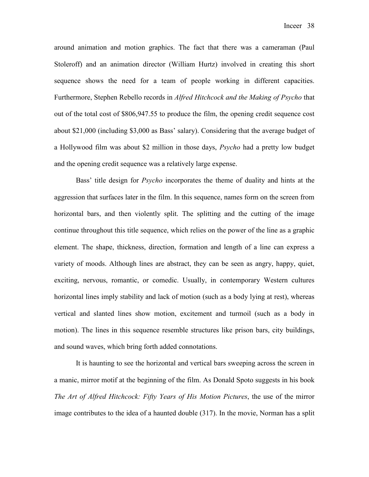around animation and motion graphics. The fact that there was a cameraman (Paul Stoleroff) and an animation director (William Hurtz) involved in creating this short sequence shows the need for a team of people working in different capacities. Furthermore, Stephen Rebello records in *Alfred Hitchcock and the Making of Psycho* that out of the total cost of \$806,947.55 to produce the film, the opening credit sequence cost about \$21,000 (including \$3,000 as Bass' salary). Considering that the average budget of a Hollywood film was about \$2 million in those days, *Psycho* had a pretty low budget and the opening credit sequence was a relatively large expense.

Bass' title design for *Psycho* incorporates the theme of duality and hints at the aggression that surfaces later in the film. In this sequence, names form on the screen from horizontal bars, and then violently split. The splitting and the cutting of the image continue throughout this title sequence, which relies on the power of the line as a graphic element. The shape, thickness, direction, formation and length of a line can express a variety of moods. Although lines are abstract, they can be seen as angry, happy, quiet, exciting, nervous, romantic, or comedic. Usually, in contemporary Western cultures horizontal lines imply stability and lack of motion (such as a body lying at rest), whereas vertical and slanted lines show motion, excitement and turmoil (such as a body in motion). The lines in this sequence resemble structures like prison bars, city buildings, and sound waves, which bring forth added connotations.

It is haunting to see the horizontal and vertical bars sweeping across the screen in a manic, mirror motif at the beginning of the film. As Donald Spoto suggests in his book *The Art of Alfred Hitchcock: Fifty Years of His Motion Pictures*, the use of the mirror image contributes to the idea of a haunted double (317). In the movie, Norman has a split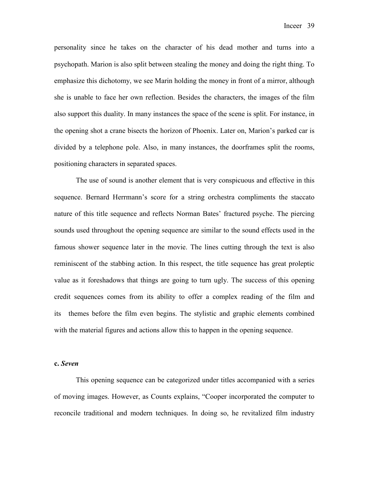personality since he takes on the character of his dead mother and turns into a psychopath. Marion is also split between stealing the money and doing the right thing. To emphasize this dichotomy, we see Marin holding the money in front of a mirror, although she is unable to face her own reflection. Besides the characters, the images of the film also support this duality. In many instances the space of the scene is split. For instance, in the opening shot a crane bisects the horizon of Phoenix. Later on, Marion's parked car is divided by a telephone pole. Also, in many instances, the doorframes split the rooms, positioning characters in separated spaces.

The use of sound is another element that is very conspicuous and effective in this sequence. Bernard Herrmann's score for a string orchestra compliments the staccato nature of this title sequence and reflects Norman Bates' fractured psyche. The piercing sounds used throughout the opening sequence are similar to the sound effects used in the famous shower sequence later in the movie. The lines cutting through the text is also reminiscent of the stabbing action. In this respect, the title sequence has great proleptic value as it foreshadows that things are going to turn ugly. The success of this opening credit sequences comes from its ability to offer a complex reading of the film and its themes before the film even begins. The stylistic and graphic elements combined with the material figures and actions allow this to happen in the opening sequence.

#### **c.** *Seven*

This opening sequence can be categorized under titles accompanied with a series of moving images. However, as Counts explains, "Cooper incorporated the computer to reconcile traditional and modern techniques. In doing so, he revitalized film industry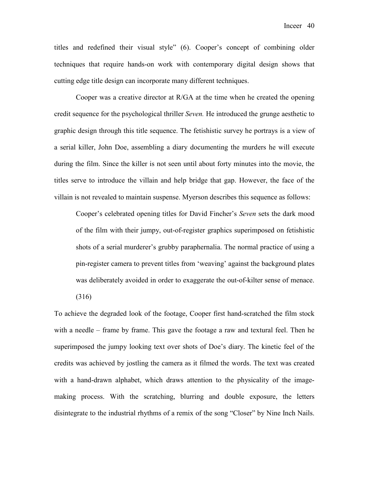titles and redefined their visual style" (6). Cooper's concept of combining older techniques that require hands-on work with contemporary digital design shows that cutting edge title design can incorporate many different techniques.

Cooper was a creative director at R/GA at the time when he created the opening credit sequence for the psychological thriller *Seven.* He introduced the grunge aesthetic to graphic design through this title sequence. The fetishistic survey he portrays is a view of a serial killer, John Doe, assembling a diary documenting the murders he will execute during the film. Since the killer is not seen until about forty minutes into the movie, the titles serve to introduce the villain and help bridge that gap. However, the face of the villain is not revealed to maintain suspense. Myerson describes this sequence as follows:

Cooper's celebrated opening titles for David Fincher's *Seven* sets the dark mood of the film with their jumpy, out-of-register graphics superimposed on fetishistic shots of a serial murderer's grubby paraphernalia. The normal practice of using a pin-register camera to prevent titles from 'weaving' against the background plates was deliberately avoided in order to exaggerate the out-of-kilter sense of menace.

(316)

To achieve the degraded look of the footage, Cooper first hand-scratched the film stock with a needle – frame by frame. This gave the footage a raw and textural feel. Then he superimposed the jumpy looking text over shots of Doe's diary. The kinetic feel of the credits was achieved by jostling the camera as it filmed the words. The text was created with a hand-drawn alphabet, which draws attention to the physicality of the imagemaking process. With the scratching, blurring and double exposure, the letters disintegrate to the industrial rhythms of a remix of the song "Closer" by Nine Inch Nails.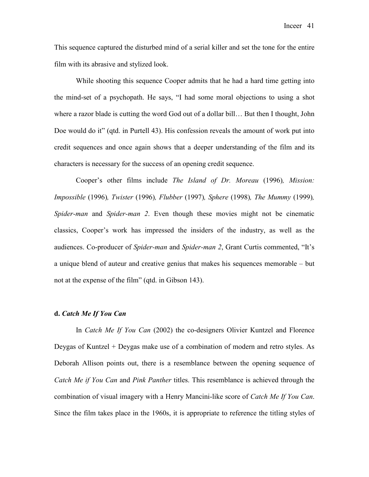This sequence captured the disturbed mind of a serial killer and set the tone for the entire film with its abrasive and stylized look.

While shooting this sequence Cooper admits that he had a hard time getting into the mind-set of a psychopath. He says, "I had some moral objections to using a shot where a razor blade is cutting the word God out of a dollar bill… But then I thought, John Doe would do it" (qtd. in Purtell 43). His confession reveals the amount of work put into credit sequences and once again shows that a deeper understanding of the film and its characters is necessary for the success of an opening credit sequence.

Cooper's other films include *The Island of Dr. Moreau* (1996)*, Mission: Impossible* (1996)*, Twister* (1996)*, Flubber* (1997)*, Sphere* (1998)*, The Mummy* (1999)*, Spider-man* and *Spider-man 2*. Even though these movies might not be cinematic classics, Cooper's work has impressed the insiders of the industry, as well as the audiences. Co-producer of *Spider-man* and *Spider-man 2*, Grant Curtis commented, "It's a unique blend of auteur and creative genius that makes his sequences memorable – but not at the expense of the film" (qtd. in Gibson 143).

#### **d.** *Catch Me If You Can*

In *Catch Me If You Can* (2002) the co-designers Olivier Kuntzel and Florence Deygas of Kuntzel + Deygas make use of a combination of modern and retro styles. As Deborah Allison points out, there is a resemblance between the opening sequence of *Catch Me if You Can* and *Pink Panther* titles. This resemblance is achieved through the combination of visual imagery with a Henry Mancini-like score of *Catch Me If You Can*. Since the film takes place in the 1960s, it is appropriate to reference the titling styles of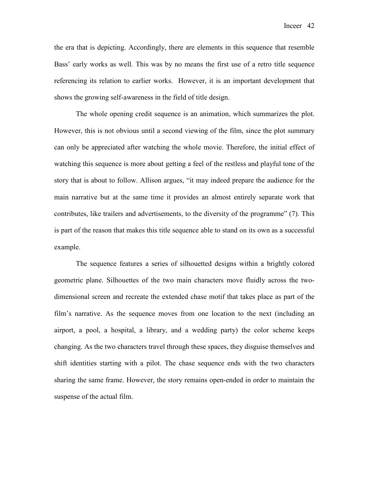Inceer 42

the era that is depicting. Accordingly, there are elements in this sequence that resemble Bass' early works as well. This was by no means the first use of a retro title sequence referencing its relation to earlier works. However, it is an important development that shows the growing self-awareness in the field of title design.

The whole opening credit sequence is an animation, which summarizes the plot. However, this is not obvious until a second viewing of the film, since the plot summary can only be appreciated after watching the whole movie. Therefore, the initial effect of watching this sequence is more about getting a feel of the restless and playful tone of the story that is about to follow. Allison argues, "it may indeed prepare the audience for the main narrative but at the same time it provides an almost entirely separate work that contributes, like trailers and advertisements, to the diversity of the programme" (7). This is part of the reason that makes this title sequence able to stand on its own as a successful example.

The sequence features a series of silhouetted designs within a brightly colored geometric plane. Silhouettes of the two main characters move fluidly across the twodimensional screen and recreate the extended chase motif that takes place as part of the film's narrative. As the sequence moves from one location to the next (including an airport, a pool, a hospital, a library, and a wedding party) the color scheme keeps changing. As the two characters travel through these spaces, they disguise themselves and shift identities starting with a pilot. The chase sequence ends with the two characters sharing the same frame. However, the story remains open-ended in order to maintain the suspense of the actual film.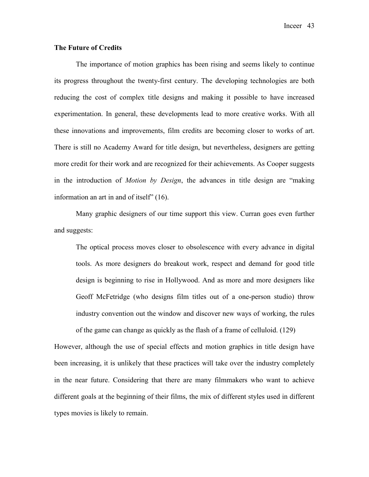# **The Future of Credits**

The importance of motion graphics has been rising and seems likely to continue its progress throughout the twenty-first century. The developing technologies are both reducing the cost of complex title designs and making it possible to have increased experimentation. In general, these developments lead to more creative works. With all these innovations and improvements, film credits are becoming closer to works of art. There is still no Academy Award for title design, but nevertheless, designers are getting more credit for their work and are recognized for their achievements. As Cooper suggests in the introduction of *Motion by Design*, the advances in title design are "making information an art in and of itself" (16).

Many graphic designers of our time support this view. Curran goes even further and suggests:

The optical process moves closer to obsolescence with every advance in digital tools. As more designers do breakout work, respect and demand for good title design is beginning to rise in Hollywood. And as more and more designers like Geoff McFetridge (who designs film titles out of a one-person studio) throw industry convention out the window and discover new ways of working, the rules of the game can change as quickly as the flash of a frame of celluloid. (129)

However, although the use of special effects and motion graphics in title design have been increasing, it is unlikely that these practices will take over the industry completely in the near future. Considering that there are many filmmakers who want to achieve different goals at the beginning of their films, the mix of different styles used in different types movies is likely to remain.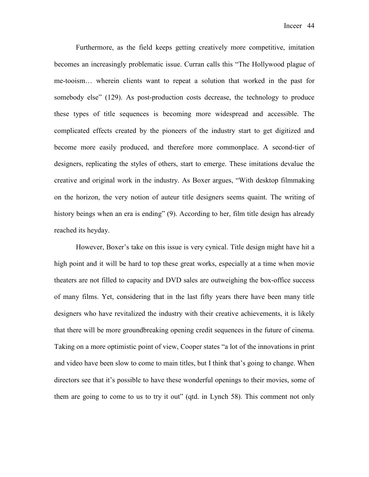Furthermore, as the field keeps getting creatively more competitive, imitation becomes an increasingly problematic issue. Curran calls this "The Hollywood plague of me-tooism… wherein clients want to repeat a solution that worked in the past for somebody else" (129). As post-production costs decrease, the technology to produce these types of title sequences is becoming more widespread and accessible. The complicated effects created by the pioneers of the industry start to get digitized and become more easily produced, and therefore more commonplace. A second-tier of designers, replicating the styles of others, start to emerge. These imitations devalue the creative and original work in the industry. As Boxer argues, "With desktop filmmaking on the horizon, the very notion of auteur title designers seems quaint. The writing of history beings when an era is ending" (9). According to her, film title design has already reached its heyday.

However, Boxer's take on this issue is very cynical. Title design might have hit a high point and it will be hard to top these great works, especially at a time when movie theaters are not filled to capacity and DVD sales are outweighing the box-office success of many films. Yet, considering that in the last fifty years there have been many title designers who have revitalized the industry with their creative achievements, it is likely that there will be more groundbreaking opening credit sequences in the future of cinema. Taking on a more optimistic point of view, Cooper states "a lot of the innovations in print and video have been slow to come to main titles, but I think that's going to change. When directors see that it's possible to have these wonderful openings to their movies, some of them are going to come to us to try it out" (qtd. in Lynch 58). This comment not only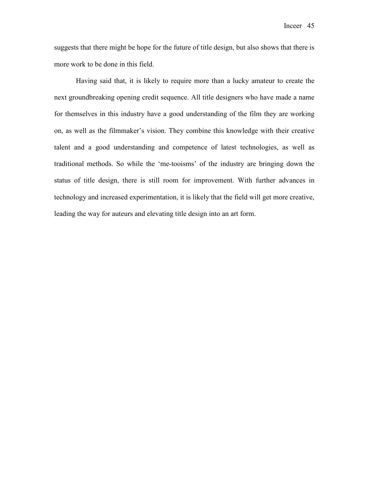suggests that there might be hope for the future of title design, but also shows that there is more work to be done in this field.

Having said that, it is likely to require more than a lucky amateur to create the next groundbreaking opening credit sequence. All title designers who have made a name for themselves in this industry have a good understanding of the film they are working on, as well as the filmmaker's vision. They combine this knowledge with their creative talent and a good understanding and competence of latest technologies, as well as traditional methods. So while the 'me-tooisms' of the industry are bringing down the status of title design, there is still room for improvement. With further advances in technology and increased experimentation, it is likely that the field will get more creative, leading the way for auteurs and elevating title design into an art form.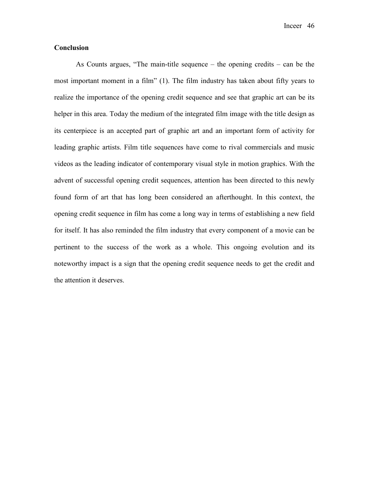Inceer 46

# **Conclusion**

As Counts argues, "The main-title sequence – the opening credits – can be the most important moment in a film" (1). The film industry has taken about fifty years to realize the importance of the opening credit sequence and see that graphic art can be its helper in this area. Today the medium of the integrated film image with the title design as its centerpiece is an accepted part of graphic art and an important form of activity for leading graphic artists. Film title sequences have come to rival commercials and music videos as the leading indicator of contemporary visual style in motion graphics. With the advent of successful opening credit sequences, attention has been directed to this newly found form of art that has long been considered an afterthought. In this context, the opening credit sequence in film has come a long way in terms of establishing a new field for itself. It has also reminded the film industry that every component of a movie can be pertinent to the success of the work as a whole. This ongoing evolution and its noteworthy impact is a sign that the opening credit sequence needs to get the credit and the attention it deserves.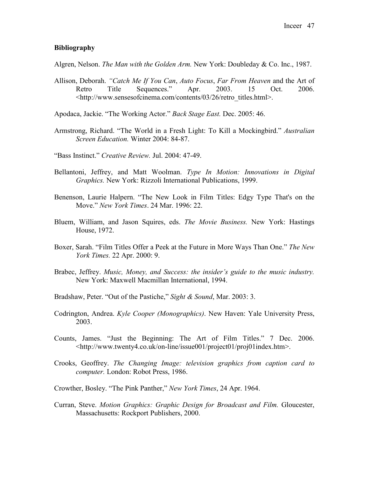# **Bibliography**

Algren, Nelson. *The Man with the Golden Arm.* New York: Doubleday & Co. Inc., 1987.

- Allison, Deborah. *"Catch Me If You Can*, *Auto Focus*, *Far From Heaven* and the Art of Retro Title Sequences." Apr. 2003. 15 Oct. 2006. <http://www.sensesofcinema.com/contents/03/26/retro\_titles.html>.
- Apodaca, Jackie. "The Working Actor." *Back Stage East.* Dec. 2005: 46.
- Armstrong, Richard. "The World in a Fresh Light: To Kill a Mockingbird." *Australian Screen Education.* Winter 2004: 84-87.

"Bass Instinct." *Creative Review.* Jul. 2004: 47-49.

- Bellantoni, Jeffrey, and Matt Woolman. *Type In Motion: Innovations in Digital Graphics.* New York: Rizzoli International Publications, 1999.
- Benenson, Laurie Halpern. "The New Look in Film Titles: Edgy Type That's on the Move." *New York Times*. 24 Mar. 1996: 22.
- Bluem, William, and Jason Squires, eds. *The Movie Business.* New York: Hastings House, 1972.
- Boxer, Sarah. "Film Titles Offer a Peek at the Future in More Ways Than One." *The New York Times.* 22 Apr. 2000: 9.
- Brabec, Jeffrey. *Music, Money, and Success: the insider's guide to the music industry.*  New York: Maxwell Macmillan International, 1994.
- Bradshaw, Peter. "Out of the Pastiche," *Sight & Sound*, Mar. 2003: 3.
- Codrington, Andrea. *Kyle Cooper (Monographics)*. New Haven: Yale University Press, 2003.
- Counts, James. "Just the Beginning: The Art of Film Titles." 7 Dec. 2006. <http://www.twenty4.co.uk/on-line/issue001/project01/proj01index.htm>.
- Crooks, Geoffrey. *The Changing Image: television graphics from caption card to computer.* London: Robot Press, 1986.

Crowther, Bosley. "The Pink Panther," *New York Times*, 24 Apr. 1964.

Curran, Steve. *Motion Graphics: Graphic Design for Broadcast and Film.* Gloucester, Massachusetts: Rockport Publishers, 2000.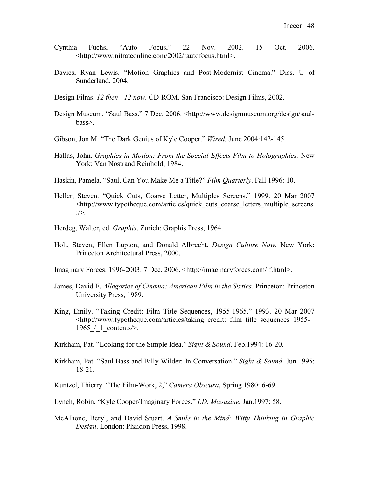- Cynthia Fuchs, "Auto Focus," 22 Nov. 2002. 15 Oct. 2006. <http://www.nitrateonline.com/2002/rautofocus.html>.
- Davies, Ryan Lewis. "Motion Graphics and Post-Modernist Cinema." Diss. U of Sunderland, 2004.
- Design Films. *12 then 12 now.* CD-ROM. San Francisco: Design Films, 2002.
- Design Museum. "Saul Bass." 7 Dec. 2006. <http://www.designmuseum.org/design/saulbass>.
- Gibson, Jon M. "The Dark Genius of Kyle Cooper." *Wired.* June 2004:142-145.
- Hallas, John. *Graphics in Motion: From the Special Effects Film to Holographics.* New York: Van Nostrand Reinhold, 1984.
- Haskin, Pamela. "Saul, Can You Make Me a Title?" *Film Quarterly*. Fall 1996: 10.
- Heller, Steven. "Quick Cuts, Coarse Letter, Multiples Screens." 1999. 20 Mar 2007 <http://www.typotheque.com/articles/quick\_cuts\_coarse\_letters\_multiple\_screens  $:$
- Herdeg, Walter, ed. *Graphis*. Zurich: Graphis Press, 1964.
- Holt, Steven, Ellen Lupton, and Donald Albrecht. *Design Culture Now.* New York: Princeton Architectural Press, 2000.
- Imaginary Forces. 1996-2003. 7 Dec. 2006. <http://imaginaryforces.com/if.html>.
- James, David E. *Allegories of Cinema: American Film in the Sixties.* Princeton: Princeton University Press, 1989.
- King, Emily. "Taking Credit: Film Title Sequences, 1955-1965." 1993. 20 Mar 2007 <http://www.typotheque.com/articles/taking\_credit:\_film\_title\_sequences\_1955- 1965 / 1 contents/>.
- Kirkham, Pat. "Looking for the Simple Idea." *Sight & Sound*. Feb.1994: 16-20.
- Kirkham, Pat. "Saul Bass and Billy Wilder: In Conversation." *Sight & Sound*. Jun.1995: 18-21.
- Kuntzel, Thierry. "The Film-Work, 2," *Camera Obscura*, Spring 1980: 6-69.
- Lynch, Robin. "Kyle Cooper/Imaginary Forces." *I.D. Magazine.* Jan.1997: 58.
- McAlhone, Beryl, and David Stuart. *A Smile in the Mind: Witty Thinking in Graphic Design*. London: Phaidon Press, 1998.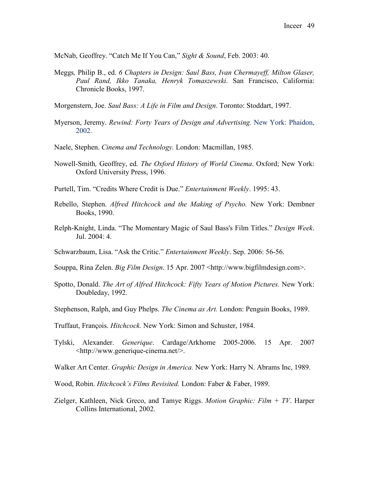McNab, Geoffrey. "Catch Me If You Can," *Sight & Sound*, Feb. 2003: 40.

Meggs*,* Philip B., ed. *6 Chapters in Design: Saul Bass, Ivan Chermayeff, Milton Glaser, Paul Rand, Ikko Tanaka, Henryk Tomaszewski*. San Francisco, California: Chronicle Books, 1997.

Morgenstern, Joe. *Saul Bass: A Life in Film and Design*. Toronto: Stoddart, 1997.

- Myerson, Jeremy. *Rewind: Forty Years of Design and Advertising.* New York: Phaidon, 2002.
- Naele, Stephen. *Cinema and Technology.* London: Macmillan, 1985.
- Nowell-Smith*,* Geoffrey, ed*. The Oxford History of World Cinema*. Oxford; New York: Oxford University Press, 1996.
- Purtell, Tim. "Credits Where Credit is Due." *Entertainment Weekly*. 1995: 43.
- Rebello, Stephen. *Alfred Hitchcock and the Making of Psycho.* New York: Dembner Books, 1990.
- Relph-Knight, Linda. "The Momentary Magic of Saul Bass's Film Titles." *Design Week*. Jul.  $2004 \cdot 4$
- Schwarzbaum, Lisa. "Ask the Critic." *Entertainment Weekly*. Sep. 2006: 56-56.
- Souppa, Rina Zelen. *Big Film Design*. 15 Apr. 2007 <http://www.bigfilmdesign.com>.
- Spotto, Donald. *The Art of Alfred Hitchcock: Fifty Years of Motion Pictures.* New York: Doubleday, 1992.
- Stephenson, Ralph, and Guy Phelps. *The Cinema as Art.* London: Penguin Books, 1989.
- Truffaut, François. *Hitchcock.* New York: Simon and Schuster, 1984.
- Tylski, Alexander. *Generique*. Cardage/Arkhome 2005-2006. 15 Apr. 2007 <http://www.generique-cinema.net/>.
- Walker Art Center. *Graphic Design in America.* New York: Harry N. Abrams Inc, 1989.
- Wood, Robin. *Hitchcock's Films Revisited.* London: Faber & Faber, 1989.
- Zielger, Kathleen, Nick Greco, and Tamye Riggs. *Motion Graphic: Film + TV*. Harper Collins International, 2002.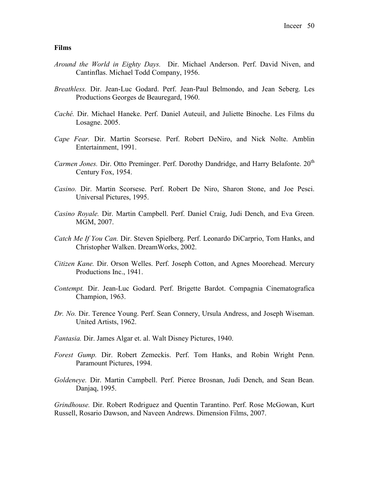#### **Films**

- *Around the World in Eighty Days.* Dir. Michael Anderson. Perf. David Niven, and Cantinflas. Michael Todd Company, 1956.
- *Breathless.* Dir. Jean-Luc Godard. Perf. Jean-Paul Belmondo, and Jean Seberg. Les Productions Georges de Beauregard, 1960.
- *Caché.* Dir. Michael Haneke. Perf. Daniel Auteuil, and Juliette Binoche. Les Films du Losagne. 2005.
- *Cape Fear.* Dir. Martin Scorsese. Perf. Robert DeNiro, and Nick Nolte. Amblin Entertainment, 1991.
- *Carmen Jones.* Dir. Otto Preminger. Perf. Dorothy Dandridge, and Harry Belafonte. 20<sup>th</sup> Century Fox, 1954.
- *Casino.* Dir. Martin Scorsese. Perf. Robert De Niro, Sharon Stone, and Joe Pesci. Universal Pictures, 1995.
- *Casino Royale.* Dir. Martin Campbell. Perf. Daniel Craig, Judi Dench, and Eva Green. MGM, 2007.
- *Catch Me If You Can.* Dir. Steven Spielberg. Perf. Leonardo DiCarprio, Tom Hanks, and Christopher Walken. DreamWorks, 2002.
- *Citizen Kane.* Dir. Orson Welles. Perf. Joseph Cotton, and Agnes Moorehead. Mercury Productions Inc., 1941.
- *Contempt.* Dir. Jean-Luc Godard. Perf. Brigette Bardot. Compagnia Cinematografica Champion, 1963.
- *Dr. No.* Dir. Terence Young. Perf. Sean Connery, Ursula Andress, and Joseph Wiseman. United Artists, 1962.
- *Fantasia.* Dir. James Algar et. al. Walt Disney Pictures, 1940.
- *Forest Gump.* Dir. Robert Zemeckis. Perf. Tom Hanks, and Robin Wright Penn. Paramount Pictures, 1994.
- *Goldeneye.* Dir. Martin Campbell. Perf. Pierce Brosnan, Judi Dench, and Sean Bean. Danjaq, 1995.

*Grindhouse.* Dir. Robert Rodriguez and Quentin Tarantino. Perf. Rose McGowan, Kurt Russell, Rosario Dawson, and Naveen Andrews. Dimension Films, 2007.